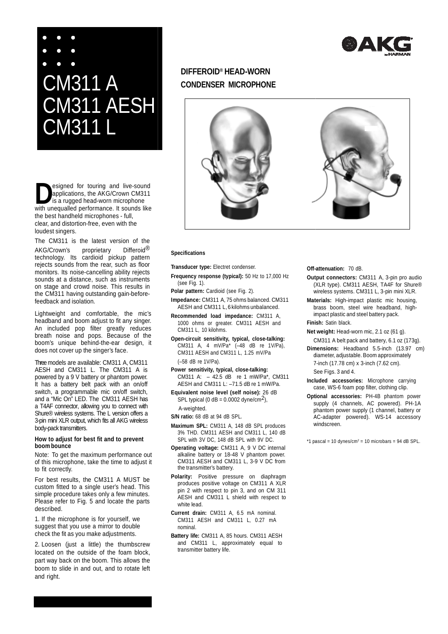# CM311 A CM311 AESH CM311 L

esigned for touring and live-sound<br>applications, the AKG/Crown CM311<br>is a rugged head-worn microphone<br>with unequalled performance. It sounds like esigned for touring and live-sound applications, the AKG/Crown CM311 is a rugged head-worn microphone the best handheld microphones - full, clear, and distortion-free, even with the loudest singers.

The CM311 is the latest version of the AKG/Crown's proprietary Differoid® technology. Its cardioid pickup pattern rejects sounds from the rear, such as floor monitors. Its noise-cancelling ability rejects sounds at a distance, such as instruments on stage and crowd noise. This results in the CM311 having outstanding gain-beforefeedback and isolation.

Lightweight and comfortable, the mic's headband and boom adjust to fit any singer. An included pop filter greatly reduces breath noise and pops. Because of the boom's unique behind-the-ear design, it does not cover up the singer's face.

Three models are available: CM311 A, CM311 AESH and CM311 L. The CM311 A is powered by a 9 V battery or phantom power. It has a battery belt pack with an on/off switch, a programmable mic on/off switch, and a "Mic On" LED. The CM311 AESH has a T4AF connector, allowing you to connect with Shure® wireless systems. The L version offers a 3-pin mini XLR output, which fits all AKG wireless body-pack transmitters.

### **How to adjust for best fit and to prevent boom bounce**

Note: To get the maximum performance out of this microphone, take the time to adjust it to fit correctly.

For best results, the CM311 A MUST be custom fitted to a single user's head. This simple procedure takes only a few minutes. Please refer to Fig. 5 and locate the parts described.

1. If the microphone is for yourself, we suggest that you use a mirror to double check the fit as you make adjustments.

2. Loosen (just a little) the thumbscrew located on the outside of the foam block, part way back on the boom. This allows the boom to slide in and out, and to rotate left and right.

# **DIFFEROID® HEAD-WORN CONDENSER MICROPHONE**



#### **Specifications**

**Transducer type:** Electret condenser.

- **Frequency response (typical):** 50 Hz to 17,000 Hz (see Fig. 1).
- Polar pattern: Cardioid (see Fig. 2).
- **Impedance:** CM311 A, 75 ohms balanced. CM311 AESH and CM311 L, 6 kilohms unbalanced.

**Recommended load impedance:** CM311 A, 1000 ohms or greater. CM311 AESH and CM311 L, 10 kilohms.

**Open-circuit sensitivity, typical, close-talking:**  CM311 A, 4 mV/Pa\* (–48 dB re 1V/Pa), CM311 AESH and CM311 L, 1.25 mV/Pa (–58 dB re 1V/Pa).

- **Power sensitivity, typical, close-talking:** CM311 A: – 42.5 dB re 1 mW/Pa\*, CM311 AESH and CM311 L: –71.5 dB re 1 mW/Pa.
- **Equivalent noise level (self noise):** 26 dB SPL typical (0  $dB = 0.0002$  dyne/cm<sup>2</sup>), A-weighted.
- **S/N ratio:** 68 dB at 94 dB SPL.
- **Maximum SPL:** CM311 A, 148 dB SPL produces 3% THD. CM311 AESH and CM311 L, 140 dB SPL with 3V DC, 148 dB SPL with 9V DC.
- **Operating voltage:** CM311 A, 9 V DC internal alkaline battery or 18-48 V phantom power. CM311 AESH and CM311 L, 3-9 V DC from the transmitter's battery.
- Polarity: Positive pressure on diaphragm produces positive voltage on CM311 A XLR pin 2 with respect to pin 3, and on CM 311 AESH and CM311 L shield with respect to white lead.
- **Current drain:** CM311 A, 6.5 mA nominal. CM311 AESH and CM311 L, 0.27 mA nominal.
- **Battery life:** CM311 A, 85 hours. CM311 AESH and CM311 L, approximately equal to transmitter battery life.

#### **Off--attenuation:** 70 dB.

- **Outpu Output connectors:** CM311 A, 3-pin pro audio (XL (XLR type). CM311 AESH, TA4F for Shure® wireless systems systems. CM311 L, 3-pin mini XLR.
- **Materials Materials:** High-impact plastic mic housing, bras brass boom, steel wire headband, highimpac impact plastic and steel battery pack.

**Finish Finish:** Satin black.

- **Net weight:** Head-worn mic, 2.1 oz (61 g).
- CM311 CM311 A belt pack and battery, 6.1 oz (173g). **Dimensions Dimensions:** Headband 5.5-inch (13.97 cm) diamete diameter, adjustable. Boom approximately 7 7-inch (17.78 cm) x 3-inch (7.62 cm). See Figs. 3 and 4.

**Include Included accessories:** Microphone carrying case case, WS-6 foam pop filter, clothing clip.

**Optiona Optional accessories:** PH-4B phantom power suppl supply (4 channels, AC powered). PH-1A phanto phantom power supply (1 channel, battery or AC AC-adapter powered). WS-14 accessory windscreen.

\*1 pasca pascal = 10 dynes/cm2 = 10 microbars = 94 dB SPL.

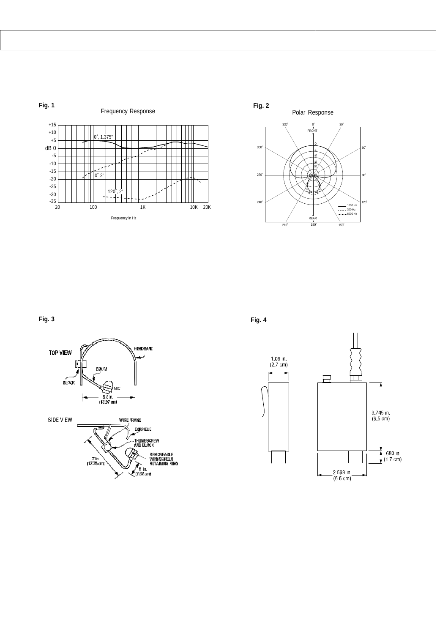



**Fig. 3**



**Fig. 4**

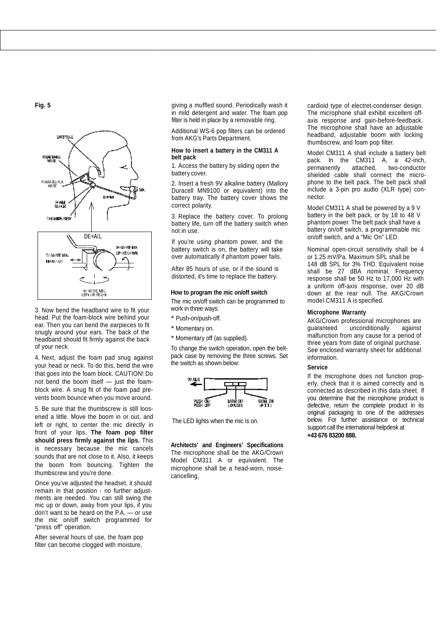**Fig. 5**



3. Now bend the headband wire to fit your head. Put the foam-block wire behind your ear. Then you can bend the earpieces to fit snugly around your ears. The back of the headband should fit firmly against the back of your neck.

4. Next, adjust the foam pad snug against your head or neck. To do this, bend the wire that goes into the foam block. CAUTION! Do not bend the boom itself — just the foamblock wire. A snug fit of the foam pad prevents boom bounce when you move around.

5. Be sure that the thumbscrew is still loosened a little. Move the boom in or out, and left or right, to center the mic directly in front of your lips. **The foam pop filter should press firmly against the lips.** This is necessary because the mic cancels sounds that are not close to it. Also, it keeps the boom from bouncing. Tighten the thumbscrew and you're done.

Once you've adjusted the headset, it should remain in that position - no further adjustments are needed. You can still swing the mic up or down, away from your lips, if you don't want to be heard on the P.A. — or use the mic on/off switch programmed for "press off" operation.

After several hours of use, the foam pop filter can become clogged with moisture,

giving a muffled sound. Periodically wash it in mild detergent and water. The foam pop filter is held in place by a removable ring.

Additional WS-6 pop filters can be ordered from AKG's Parts Department.

#### **How to insert a battery in the CM311 A belt pack**

1. Access the battery by sliding open the battery cover.

2. Insert a fresh 9V alkaline battery (Mallory Duracell MN9100 or equivalent) into the battery tray. The battery cover shows the correct polarity.

3. Replace the battery cover. To prolong battery life, turn off the battery switch when not in use.

If you're using phantom power, and the battery switch is on, the battery will take over automatically if phantom power fails.

After 85 hours of use, or if the sound is distorted, it's time to replace the battery.

## **How to program the mic on/off switch**

The mic on/off switch can be programmed to work in three ways:

- \* Push-on/push-off.
- \* Momentary on.

\* Momentary off (as supplied).

To change the switch operation, open the beltpack case by removing the three screws. Set the switch as shown below:



The LED lights when the mic is on.

**Architects' and Engineers' Specifications**  The microphone shall be the AKG/Crown Model CM311 A or equivalent. The microphone shall be a head-worn, noisecancelling,

cardioi cardioid type of electret-condenser design. The e microphone shall exhibit excellent offaxis s response and gain-before-feedback. The e microphone shall have an adjustable headband headband, adjustable boom with locking thumbscre thumbscrew, and foam pop filter.

Mode Model CM311 A shall include a battery belt pack pack. In the CM311 A, a 42-inch, permanentl permanently attached, two-conductor shielde shielded cable shall connect the microphon phone to the belt pack. The belt pack shall includ include a 3-pin pro audio (XLR type) connecto nector.

Mode Model CM311 A shall be powered by a 9 V batte battery in the belt pack, or by 18 to 48 V phanto phantom power. The belt pack shall have a batte battery on/off switch, a programmable mic on/off on/off switch, and a "Mic On" LED.

Nomina Nominal open-circuit sensitivity shall be 4 or 1.2 1.25 mV/Pa. Maximum SPL shall be 148 148 dB SPL for 3% THD. Equivalent noise shall shall be 27 dBA nominal. Frequency response shall be 50 Hz to 17,000 Hz with a uniform uniform off-axis response, over 20 dB dow down at the rear null. The AKG/Crown model model CM311 A is specified.

#### **Mic Microphone Warranty**

AKG/C AKG/Crown professional microphones are quaranteed malfunction from any cause for a period of thre three years from date of original purchase. See e enclosed warranty sheet for additional info information. unconditionally against

#### **Ser rvice**

If th the microphone does not function properly y, check that it is aimed correctly and is connecte connected as described in this data sheet. If you determine that the microphone product is defective, return the complete product in its original packaging to one of the addresses below. For further assistance or technical support call the international helpdesk at **+43 676 83200 888.** defective, return the complete product in its<br>original packaging to one of the addresses<br>below. For further assistance or technical